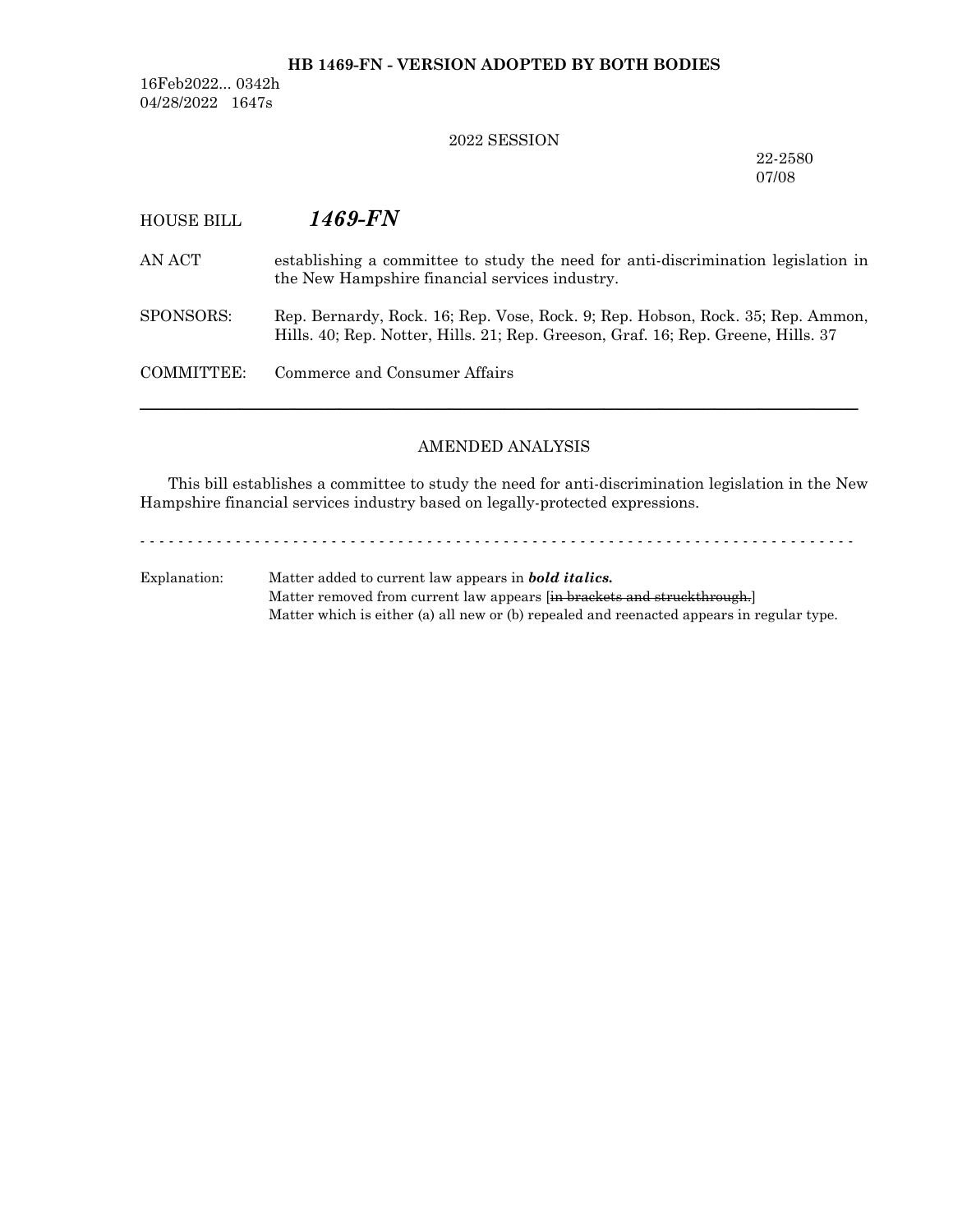### **HB 1469-FN - VERSION ADOPTED BY BOTH BODIES**

16Feb2022... 0342h 04/28/2022 1647s

#### 2022 SESSION

22-2580 07/08

# HOUSE BILL *1469-FN* AN ACT establishing a committee to study the need for anti-discrimination legislation in the New Hampshire financial services industry. SPONSORS: Rep. Bernardy, Rock. 16; Rep. Vose, Rock. 9; Rep. Hobson, Rock. 35; Rep. Ammon, Hills. 40; Rep. Notter, Hills. 21; Rep. Greeson, Graf. 16; Rep. Greene, Hills. 37 COMMITTEE: Commerce and Consumer Affairs ─────────────────────────────────────────────────────────────────

## AMENDED ANALYSIS

This bill establishes a committee to study the need for anti-discrimination legislation in the New Hampshire financial services industry based on legally-protected expressions.

- - - - - - - - - - - - - - - - - - - - - - - - - - - - - - - - - - - - - - - - - - - - - - - - - - - - - - - - - - - - - - - - - - - - - - - - - - -

Explanation: Matter added to current law appears in *bold italics.* Matter removed from current law appears [in brackets and struckthrough.] Matter which is either (a) all new or (b) repealed and reenacted appears in regular type.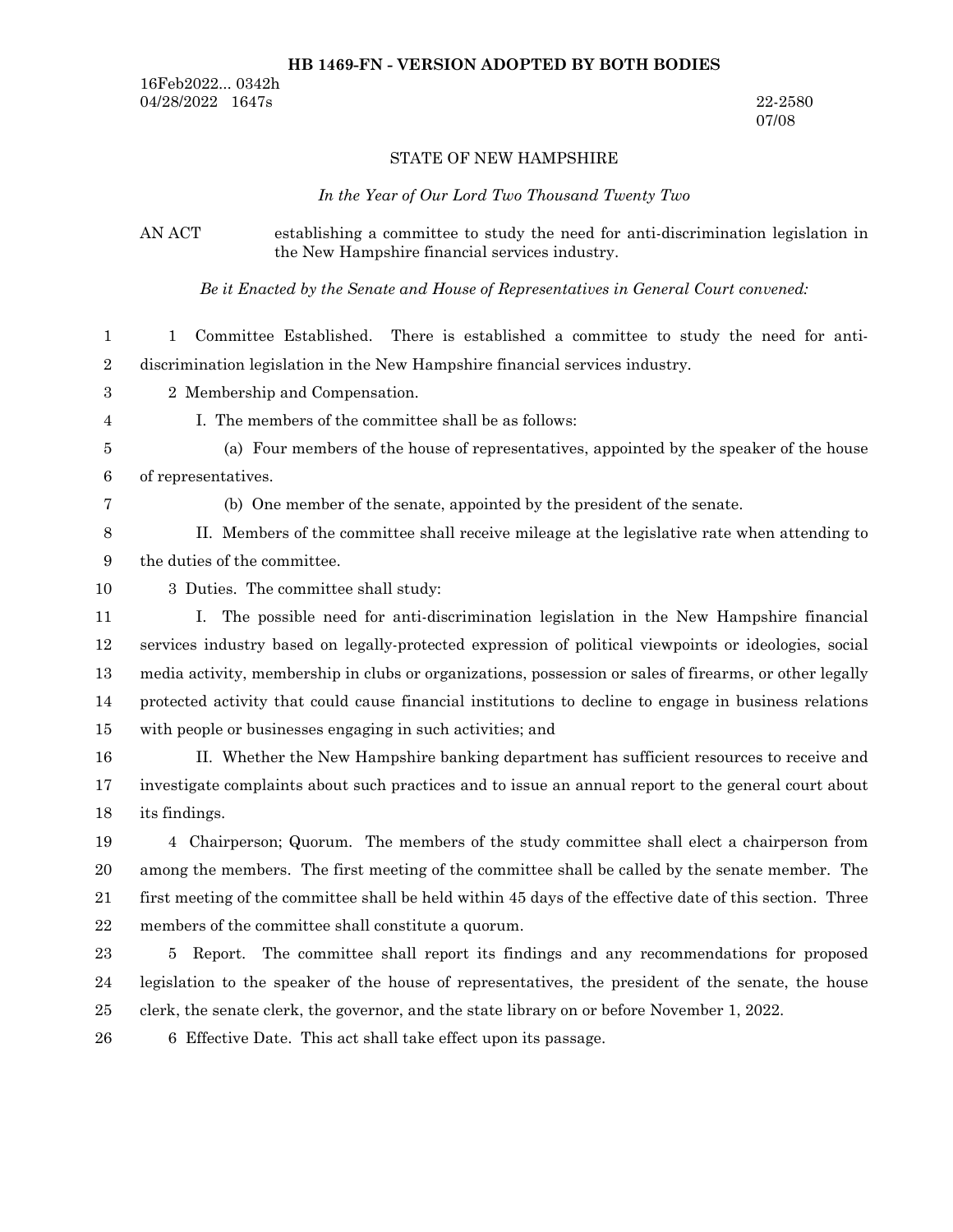#### **HB 1469-FN - VERSION ADOPTED BY BOTH BODIES**

16Feb2022... 0342h 04/28/2022 1647s 22-2580

07/08

#### STATE OF NEW HAMPSHIRE

*In the Year of Our Lord Two Thousand Twenty Two*

## AN ACT establishing a committee to study the need for anti-discrimination legislation in the New Hampshire financial services industry.

*Be it Enacted by the Senate and House of Representatives in General Court convened:*

1 Committee Established. There is established a committee to study the need for antidiscrimination legislation in the New Hampshire financial services industry. 1 2

- 2 Membership and Compensation. 3
- 4

I. The members of the committee shall be as follows:

- (a) Four members of the house of representatives, appointed by the speaker of the house of representatives. 5 6
- 7

(b) One member of the senate, appointed by the president of the senate.

- II. Members of the committee shall receive mileage at the legislative rate when attending to the duties of the committee. 8 9
- 3 Duties. The committee shall study: 10
- I. The possible need for anti-discrimination legislation in the New Hampshire financial services industry based on legally-protected expression of political viewpoints or ideologies, social media activity, membership in clubs or organizations, possession or sales of firearms, or other legally protected activity that could cause financial institutions to decline to engage in business relations with people or businesses engaging in such activities; and 11 12 13 14 15

II. Whether the New Hampshire banking department has sufficient resources to receive and investigate complaints about such practices and to issue an annual report to the general court about its findings. 16 17 18

4 Chairperson; Quorum. The members of the study committee shall elect a chairperson from among the members. The first meeting of the committee shall be called by the senate member. The first meeting of the committee shall be held within 45 days of the effective date of this section. Three members of the committee shall constitute a quorum. 19 20 21 22

5 Report. The committee shall report its findings and any recommendations for proposed legislation to the speaker of the house of representatives, the president of the senate, the house clerk, the senate clerk, the governor, and the state library on or before November 1, 2022. 23 24 25

6 Effective Date. This act shall take effect upon its passage. 26